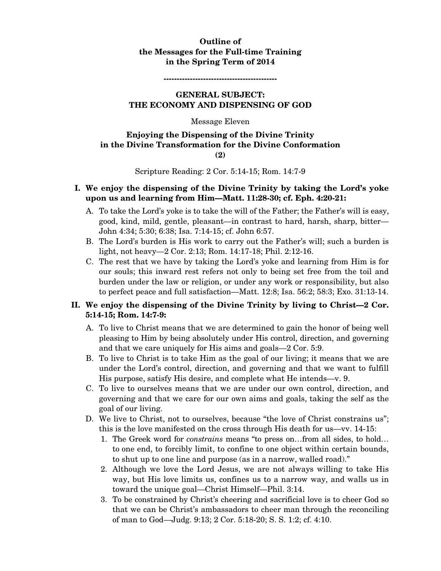#### **Outline of the Messages for the Full-time Training in the Spring Term of 2014**

**-------------------------------------------** 

#### **GENERAL SUBJECT: THE ECONOMY AND DISPENSING OF GOD**

#### Message Eleven

#### **Enjoying the Dispensing of the Divine Trinity in the Divine Transformation for the Divine Conformation (2)**

Scripture Reading: 2 Cor. 5:14-15; Rom. 14:7-9

#### **I. We enjoy the dispensing of the Divine Trinity by taking the Lord's yoke upon us and learning from Him—Matt. 11:28-30; cf. Eph. 4:20-21:**

- A. To take the Lord's yoke is to take the will of the Father; the Father's will is easy, good, kind, mild, gentle, pleasant—in contrast to hard, harsh, sharp, bitter— John 4:34; 5:30; 6:38; Isa. 7:14-15; cf. John 6:57.
- B. The Lord's burden is His work to carry out the Father's will; such a burden is light, not heavy—2 Cor. 2:13; Rom. 14:17-18; Phil. 2:12-16.
- C. The rest that we have by taking the Lord's yoke and learning from Him is for our souls; this inward rest refers not only to being set free from the toil and burden under the law or religion, or under any work or responsibility, but also to perfect peace and full satisfaction—Matt. 12:8; Isa. 56:2; 58:3; Exo. 31:13-14.

## **II. We enjoy the dispensing of the Divine Trinity by living to Christ—2 Cor. 5:14-15; Rom. 14:7-9:**

- A. To live to Christ means that we are determined to gain the honor of being well pleasing to Him by being absolutely under His control, direction, and governing and that we care uniquely for His aims and goals—2 Cor. 5:9.
- B. To live to Christ is to take Him as the goal of our living; it means that we are under the Lord's control, direction, and governing and that we want to fulfill His purpose, satisfy His desire, and complete what He intends—v. 9.
- C. To live to ourselves means that we are under our own control, direction, and governing and that we care for our own aims and goals, taking the self as the goal of our living.
- D. We live to Christ, not to ourselves, because "the love of Christ constrains us"; this is the love manifested on the cross through His death for us—vv. 14-15:
	- 1. The Greek word for *constrains* means "to press on…from all sides, to hold… to one end, to forcibly limit, to confine to one object within certain bounds, to shut up to one line and purpose (as in a narrow, walled road)."
	- 2. Although we love the Lord Jesus, we are not always willing to take His way, but His love limits us, confines us to a narrow way, and walls us in toward the unique goal—Christ Himself—Phil. 3:14.
	- 3. To be constrained by Christ's cheering and sacrificial love is to cheer God so that we can be Christ's ambassadors to cheer man through the reconciling of man to God—Judg. 9:13; 2 Cor. 5:18-20; S. S. 1:2; cf. 4:10.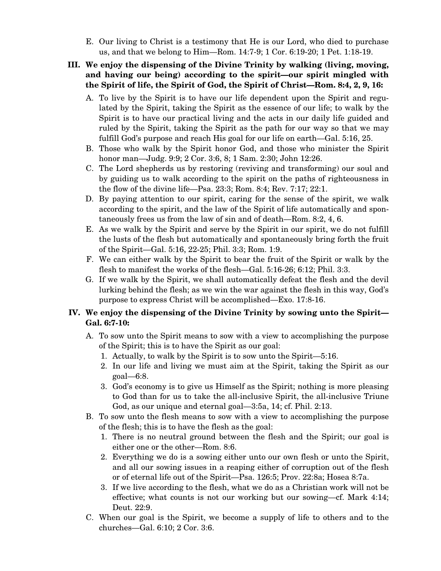E. Our living to Christ is a testimony that He is our Lord, who died to purchase us, and that we belong to Him—Rom. 14:7-9; 1 Cor. 6:19-20; 1 Pet. 1:18-19.

## **III. We enjoy the dispensing of the Divine Trinity by walking (living, moving, and having our being) according to the spirit—our spirit mingled with the Spirit of life, the Spirit of God, the Spirit of Christ—Rom. 8:4, 2, 9, 16:**

- A. To live by the Spirit is to have our life dependent upon the Spirit and regulated by the Spirit, taking the Spirit as the essence of our life; to walk by the Spirit is to have our practical living and the acts in our daily life guided and ruled by the Spirit, taking the Spirit as the path for our way so that we may fulfill God's purpose and reach His goal for our life on earth—Gal. 5:16, 25.
- B. Those who walk by the Spirit honor God, and those who minister the Spirit honor man—Judg. 9:9; 2 Cor. 3:6, 8; 1 Sam. 2:30; John 12:26.
- C. The Lord shepherds us by restoring (reviving and transforming) our soul and by guiding us to walk according to the spirit on the paths of righteousness in the flow of the divine life—Psa. 23:3; Rom. 8:4; Rev. 7:17; 22:1.
- D. By paying attention to our spirit, caring for the sense of the spirit, we walk according to the spirit, and the law of the Spirit of life automatically and spontaneously frees us from the law of sin and of death—Rom. 8:2, 4, 6.
- E. As we walk by the Spirit and serve by the Spirit in our spirit, we do not fulfill the lusts of the flesh but automatically and spontaneously bring forth the fruit of the Spirit—Gal. 5:16, 22-25; Phil. 3:3; Rom. 1:9.
- F. We can either walk by the Spirit to bear the fruit of the Spirit or walk by the flesh to manifest the works of the flesh—Gal. 5:16-26; 6:12; Phil. 3:3.
- G. If we walk by the Spirit, we shall automatically defeat the flesh and the devil lurking behind the flesh; as we win the war against the flesh in this way, God's purpose to express Christ will be accomplished—Exo. 17:8-16.

## **IV. We enjoy the dispensing of the Divine Trinity by sowing unto the Spirit— Gal. 6:7-10:**

- A. To sow unto the Spirit means to sow with a view to accomplishing the purpose of the Spirit; this is to have the Spirit as our goal:
	- 1. Actually, to walk by the Spirit is to sow unto the Spirit—5:16.
	- 2. In our life and living we must aim at the Spirit, taking the Spirit as our goal—6:8.
	- 3. God's economy is to give us Himself as the Spirit; nothing is more pleasing to God than for us to take the all-inclusive Spirit, the all-inclusive Triune God, as our unique and eternal goal—3:5a, 14; cf. Phil. 2:13.
- B. To sow unto the flesh means to sow with a view to accomplishing the purpose of the flesh; this is to have the flesh as the goal:
	- 1. There is no neutral ground between the flesh and the Spirit; our goal is either one or the other—Rom. 8:6.
	- 2. Everything we do is a sowing either unto our own flesh or unto the Spirit, and all our sowing issues in a reaping either of corruption out of the flesh or of eternal life out of the Spirit—Psa. 126:5; Prov. 22:8a; Hosea 8:7a.
	- 3. If we live according to the flesh, what we do as a Christian work will not be effective; what counts is not our working but our sowing—cf. Mark 4:14; Deut. 22:9.
- C. When our goal is the Spirit, we become a supply of life to others and to the churches—Gal. 6:10; 2 Cor. 3:6.